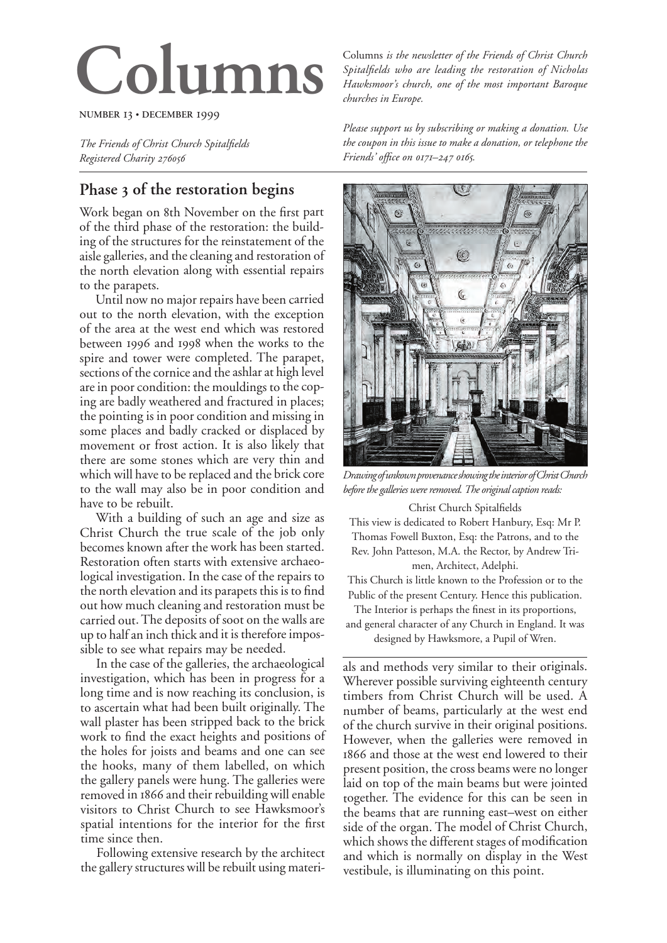# **Columns**

**NUMBER 13 · DECEMBER 1999** 

*The Friends of Christ Church Spitalfields Registered Charity* 

# **Phase of the restoration begins**

Work began on 8th November on the first part of the third phase of the restoration: the building of the structures for the reinstatement of the aisle galleries, and the cleaning and restoration of the north elevation along with essential repairs to the parapets.

Until now no major repairs have been carried out to the north elevation, with the exception of the area at the west end which was restored between 1996 and 1998 when the works to the spire and tower were completed. The parapet, sections of the cornice and the ashlar at high level are in poor condition: the mouldings to the coping are badly weathered and fractured in places; the pointing is in poor condition and missing in some places and badly cracked or displaced by movement or frost action. It is also likely that there are some stones which are very thin and which will have to be replaced and the brick core to the wall may also be in poor condition and have to be rebuilt.

With a building of such an age and size as Christ Church the true scale of the job only becomes known after the work has been started. Restoration often starts with extensive archaeological investigation. In the case of the repairs to the north elevation and its parapets this is to find out how much cleaning and restoration must be carried out. The deposits of soot on the walls are up to half an inch thick and it is therefore impossible to see what repairs may be needed.

In the case of the galleries, the archaeological investigation, which has been in progress for a long time and is now reaching its conclusion, is to ascertain what had been built originally. The wall plaster has been stripped back to the brick work to find the exact heights and positions of the holes for joists and beams and one can see the hooks, many of them labelled, on which the gallery panels were hung. The galleries were removed in 1866 and their rebuilding will enable visitors to Christ Church to see Hawksmoor's spatial intentions for the interior for the first time since then.

Following extensive research by the architect the gallery structures will be rebuilt using materiColumns *is the newsletter of the Friends of Christ Church Spitalfields who are leading the restoration of Nicholas Hawksmoor's church, one of the most important Baroque churches in Europe.*

*Please support us by subscribing or making a donation. Use the coupon in this issue to make a donation, or telephone the Friends'* office on  $0171 - 247016$ 



*Drawing of unkown provenance showing the interior of Christ Church before the galleries were removed. The original caption reads:*

#### Christ Church Spitalfields

This view is dedicated to Robert Hanbury, Esq: Mr P. Thomas Fowell Buxton, Esq: the Patrons, and to the Rev. John Patteson, M.A. the Rector, by Andrew Trimen, Architect, Adelphi.

This Church is little known to the Profession or to the Public of the present Century. Hence this publication.

The Interior is perhaps the finest in its proportions, and general character of any Church in England. It was

designed by Hawksmore, a Pupil of Wren.

als and methods very similar to their originals. Wherever possible surviving eighteenth century timbers from Christ Church will be used. A number of beams, particularly at the west end of the church survive in their original positions. However, when the galleries were removed in 1866 and those at the west end lowered to their present position, the cross beams were no longer laid on top of the main beams but were jointed together. The evidence for this can be seen in the beams that are running east–west on either side of the organ. The model of Christ Church, which shows the different stages of modification and which is normally on display in the West vestibule, is illuminating on this point.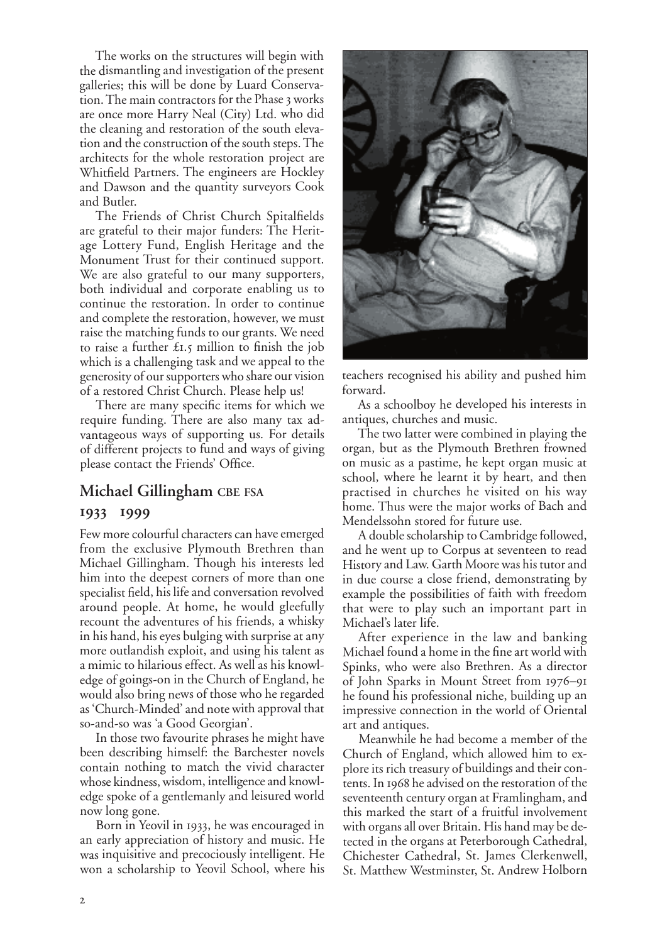The works on the structures will begin with the dismantling and investigation of the present galleries; this will be done by Luard Conservation. The main contractors for the Phase 3 works are once more Harry Neal (City) Ltd. who did the cleaning and restoration of the south elevation and the construction of the south steps. The architects for the whole restoration project are Whitfield Partners. The engineers are Hockley and Dawson and the quantity surveyors Cook and Butler.

The Friends of Christ Church Spitalfields are grateful to their major funders: The Heritage Lottery Fund, English Heritage and the Monument Trust for their continued support. We are also grateful to our many supporters, both individual and corporate enabling us to continue the restoration. In order to continue and complete the restoration, however, we must raise the matching funds to our grants. We need to raise a further  $\pounds$ 1.5 million to finish the job which is a challenging task and we appeal to the generosity of our supporters who share our vision of a restored Christ Church. Please help us!

There are many specific items for which we require funding. There are also many tax advantageous ways of supporting us. For details of different projects to fund and ways of giving <sup>p</sup>lease contact the Friends' Office.

#### **Michael Gillingham CBE FSA**

#### **1933 1999**

Few more colourful characters can have emerged from the exclusive Plymouth Brethren than Michael Gillingham. Though his interests led him into the deepest corners of more than one specialist field, his life and conversation revolved around people. At home, he would gleefully recount the adventures of his friends, a whisky in his hand, his eyes bulging with surprise at any more outlandish exploit, and using his talent as a mimic to hilarious effect. As well as his knowledge of goings-on in the Church of England, he would also bring news of those who he regarded as 'Church-Minded' and note with approval that so-and-so was 'a Good Georgian'.

In those two favourite phrases he might have been describing himself: the Barchester novels contain nothing to match the vivid character whose kindness, wisdom, intelligence and knowledge spoke of a gentlemanly and leisured world now long gone.

Born in Yeovil in 1933, he was encouraged in an early appreciation of history and music. He was inquisitive and precociously intelligent. He won a scholarship to Yeovil School, where his



teachers recognised his ability and pushed him forward.

As a schoolboy he developed his interests in antiques, churches and music.

The two latter were combined in playing the organ, but as the Plymouth Brethren frowned on music as a pastime, he kept organ music at school, where he learnt it by heart, and then practised in churches he visited on his way home. Thus were the major works of Bach and Mendelssohn stored for future use.

A double scholarship to Cambridge followed, and he went up to Corpus at seventeen to read History and Law. Garth Moore was his tutor and in due course a close friend, demonstrating by example the possibilities of faith with freedom that were to play such an important part in Michael's later life.

After experience in the law and banking Michael found a home in the fine art world with Spinks, who were also Brethren. As a director of John Sparks in Mount Street from 1976–91 he found his professional niche, building up an impressive connection in the world of Oriental art and antiques.

Meanwhile he had become a member of the Church of England, which allowed him to explore its rich treasury of buildings and their contents. In 1968 he advised on the restoration of the seventeenth century organ at Framlingham, and this marked the start of a fruitful involvement with organs all over Britain. His hand may be detected in the organs at Peterborough Cathedral, Chichester Cathedral, St. James Clerkenwell, St. Matthew Westminster, St. Andrew Holborn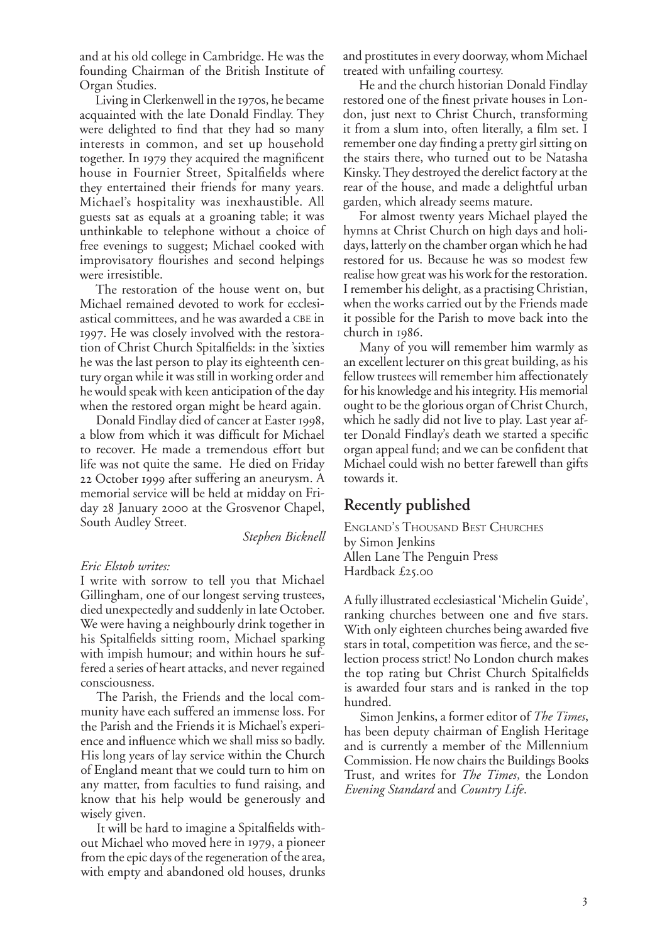and at his old college in Cambridge. He was the founding Chairman of the British Institute of Organ Studies.

Living in Clerkenwell in the 1970s, he became acquainted with the late Donald Findlay. They were delighted to find that they had so many interests in common, and set up household together. In 1979 they acquired the magnificent house in Fournier Street, Spitalfields where they entertained their friends for many years. Michael's hospitality was inexhaustible. All guests sat as equals at a groaning table; it was unthinkable to telephone without a choice of free evenings to suggest; Michael cooked with improvisatory flourishes and second helpings were irresistible.

The restoration of the house went on, but Michael remained devoted to work for ecclesiastical committees, and he was awarded a CBE in . He was closely involved with the restoration of Christ Church Spitalfields: in the 'sixties he was the last person to play its eighteenth century organ while it was still in working order and he would speak with keen anticipation of the day when the restored organ might be heard again.

Donald Findlay died of cancer at Easter 1998, a blow from which it was difficult for Michael to recover. He made a tremendous effort but life was not quite the same. He died on Friday 22 October 1999 after suffering an aneurysm. A memorial service will be held at midday on Friday 28 January 2000 at the Grosvenor Chapel, South Audley Street.

*Stephen Bicknell*

#### *Eric Elstob writes:*

I write with sorrow to tell you that Michael Gillingham, one of our longest serving trustees, died unexpectedly and suddenly in late October. We were having a neighbourly drink together in his Spitalfields sitting room, Michael sparking with impish humour; and within hours he suffered a series of heart attacks, and never regained consciousness.

The Parish, the Friends and the local community have each suffered an immense loss. For the Parish and the Friends it is Michael's experience and influence which we shall miss so badly. His long years of lay service within the Church of England meant that we could turn to him on any matter, from faculties to fund raising, and know that his help would be generously and wisely given.

It will be hard to imagine a Spitalfields without Michael who moved here in 1979, a pioneer from the epic days of the regeneration of the area, with empty and abandoned old houses, drunks and prostitutes in every doorway, whom Michael treated with unfailing courtesy.

He and the church historian Donald Findlay restored one of the finest private houses in London, just next to Christ Church, transforming it from a slum into, often literally, a film set. I remember one day finding a pretty girl sitting on the stairs there, who turned out to be Natasha Kinsky. They destroyed the derelict factory at the rear of the house, and made a delightful urban garden, which already seems mature.

For almost twenty years Michael played the hymns at Christ Church on high days and holidays, latterly on the chamber organ which he had restored for us. Because he was so modest few realise how great was his work for the restoration. I remember his delight, as a practising Christian, when the works carried out by the Friends made it possible for the Parish to move back into the  $church$  in  $1986$ .

Many of you will remember him warmly as an excellent lecturer on this great building, as his fellow trustees will remember him affectionately for his knowledge and his integrity. His memorial ought to be the glorious organ of Christ Church, which he sadly did not live to play. Last year after Donald Findlay's death we started a specific organ appeal fund; and we can be confident that Michael could wish no better farewell than gifts towards it.

## **Recently published**

ENGLAND'S THOUSAND BEST CHURCHES by Simon Jenkins Allen Lane The Penguin Press Hardback  $£25.00$ 

A fully illustrated ecclesiastical 'Michelin Guide', ranking churches between one and five stars. With only eighteen churches being awarded five stars in total, competition was fierce, and the selection process strict! No London church makes the top rating but Christ Church Spitalfields is awarded four stars and is ranked in the top hundred.

Simon Jenkins, a former editor of *The Times*, has been deputy chairman of English Heritage and is currently a member of the Millennium Commission. He now chairs the Buildings Books Trust, and writes for *The Times*, the London *Evening Standard* and *Country Life*.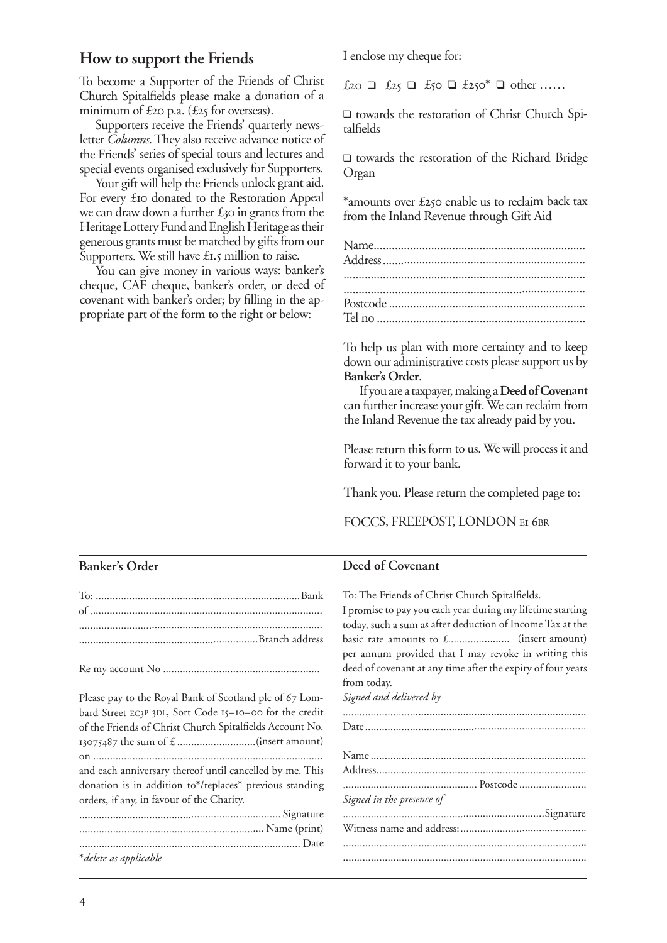# **How to support the Friends**

To become a Supporter of the Friends of Christ Church Spitalfields please make a donation of a minimum of  $\text{\pounds}$ 20 p.a. ( $\text{\pounds}$ 25 for overseas).

Supporters receive the Friends' quarterly newsletter *Columns*. They also receive advance notice of the Friends' series of special tours and lectures and special events organised exclusively for Supporters.

Your gift will help the Friends unlock grant aid. For every £10 donated to the Restoration Appeal we can draw down a further  $\pounds$ 30 in grants from the Heritage Lottery Fund and English Heritage as their generous grants must be matched by gifts from our Supporters. We still have  $\pounds$ 1.5 million to raise.

You can give money in various ways: banker's cheque, CAF cheque, banker's order, or deed of covenant with banker's order; by filling in the appropriate part of the form to the right or below:

I enclose my cheque for:

£ ❑ £ ❑ £ ❑ £\* ❑ other ……

❑ towards the restoration of Christ Church Spitalfields

❑ towards the restoration of the Richard Bridge Organ

\*amounts over £250 enable us to reclaim back tax from the Inland Revenue through Gift Aid

To help us plan with more certainty and to keep down our administrative costs please support us by **Banker's Order**.

If you are a taxpayer, making a **Deed of Covenant** can further increase your gift. We can reclaim from the Inland Revenue the tax already paid by you.

Please return this form to us. We will process it and forward it to your bank.

Thank you. Please return the completed page to:

FOCCS, FREEPOST, LONDON EI 6BR

#### **Banker's Order**

| Please pay to the Royal Bank of Scotland plc of 67 Lom-  |
|----------------------------------------------------------|
| bard Street EC3P 3DL, Sort Code 15-10-00 for the credit  |
| of the Friends of Christ Church Spitalfields Account No. |
|                                                          |
|                                                          |
| and each anniversary thereof until cancelled by me. This |
| donation is in addition to*/replaces* previous standing  |
| orders, if any, in favour of the Charity.                |
|                                                          |
|                                                          |

............................................................................... Date

#### **Deed of Covenant**

To: The Friends of Christ Church Spitalfields. I promise to pay you each year during my lifetime starting today, such a sum as after deduction of Income Tax at the basic rate amounts to £...................... (insert amount) per annum provided that I may revoke in writing this deed of covenant at any time after the expiry of four years from today. *Signed and delivered by* ....................................................................................... Date ............................................................................... Name ............................................................................. Address ........................................................................... ................................................ Postcode ........................ *Signed in the presence of* ........................................................................Signature Witness name and address: ............................................. .......................................................................................

\**delete as applicable*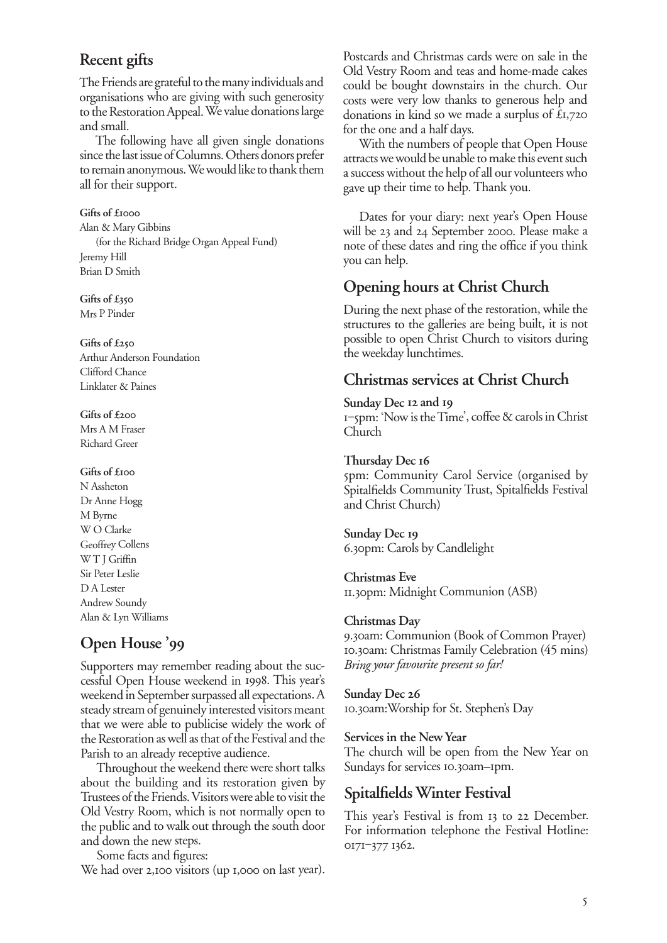# **Recent gifts**

The Friends are grateful to the many individuals and organisations who are giving with such generosity to the Restoration Appeal. We value donations large and small.

The following have all given single donations since the last issue of Columns. Others donors prefer to remain anonymous. We would like to thank them all for their support.

Gifts of £<sup>1000</sup> Alan & Mary Gibbins (for the Richard Bridge Organ Appeal Fund) Jeremy Hill Brian D Smith

**Gifts of £** Mrs P Pinder

**Gifts of £** Arthur Anderson Foundation Clifford Chance Linklater & Paines

**Gifts of £** Mrs A M Fraser Richard Greer

#### **Gifts of £**

N Assheton Dr Anne Hogg M Byrne W O Clarke Geoffrey Collens WT J Griffin Sir Peter Leslie D A Lester Andrew Soundy Alan & Lyn Williams

# **Open House '**

Supporters may remember reading about the successful Open House weekend in 1998. This year's weekend in September surpassed all expectations. A steady stream of genuinely interested visitors meant that we were able to publicise widely the work of the Restoration as well as that of the Festival and the Parish to an already receptive audience.

Throughout the weekend there were short talks about the building and its restoration given by Trustees of the Friends. Visitors were able to visit the Old Vestry Room, which is not normally open to the public and to walk out through the south door and down the new steps.

Some facts and figures: We had over 2,100 visitors (up 1,000 on last year).

Postcards and Christmas cards were on sale in the Old Vestry Room and teas and home-made cakes could be bought downstairs in the church. Our costs were very low thanks to generous help and donations in kind so we made a surplus of  $£1,720$ for the one and a half days.

With the numbers of people that Open House attracts we would be unable to make this event such a success without the help of all our volunteers who gave up their time to help. Thank you.

Dates for your diary: next year's Open House will be 23 and 24 September 2000. Please make a note of these dates and ring the office if you think you can help.

# **Opening hours at Christ Church**

During the next phase of the restoration, while the structures to the galleries are being built, it is not possible to open Christ Church to visitors during the weekday lunchtimes.

## **Christmas services at Christ Church**

#### Sunday Dec 12 and 19

‒pm: 'Now is the Time', coffee & carols in Christ Church

#### **Thursday Dec**

pm: Community Carol Service (organised by Spitalfields Community Trust, Spitalfields Festival and Christ Church)

**Sunday Dec** 6.30pm: Carols by Candlelight

**Christmas Eve** 11.30pm: Midnight Communion (ASB)

#### **Christmas Day**

9.30am: Communion (Book of Common Prayer) 10.30am: Christmas Family Celebration (45 mins) *Bring your favourite present so far!*

#### **Sunday Dec**

10.30am: Worship for St. Stephen's Day

#### **Services in the New Year**

The church will be open from the New Year on Sundays for services 10.30am–1pm.

## **Spitalfields Winter Festival**

This year's Festival is from 13 to 22 December. For information telephone the Festival Hotline: 0171-377 1362.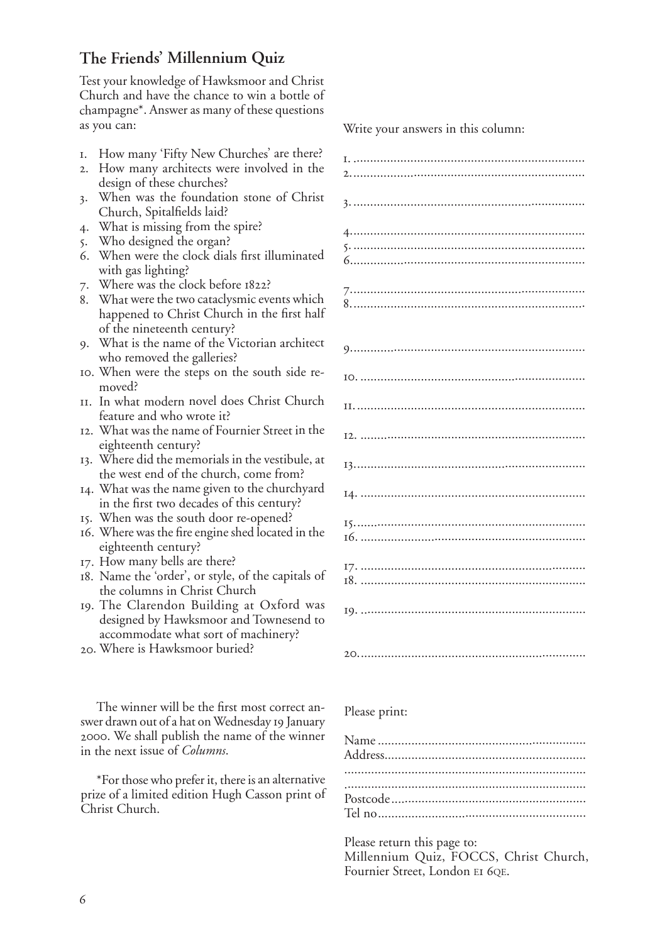# **The Friends' Millennium Quiz**

Test your knowledge of Hawksmoor and Christ Church and have the chance to win a bottle of champagne\*. Answer as many of these questions as you can:

- . How many 'Fifty New Churches' are there?
- . How many architects were involved in the design of these churches?
- . When was the foundation stone of Christ Church, Spitalfields laid?
- . What is missing from the spire?
- . Who designed the organ?
- . When were the clock dials first illuminated with gas lighting?
- 7. Where was the clock before 1822?
- . What were the two cataclysmic events which happened to Christ Church in the first half of the nineteenth century?
- . What is the name of the Victorian architect who removed the galleries?
- . When were the steps on the south side removed?
- . In what modern novel does Christ Church feature and who wrote it?
- . What was the name of Fournier Street in the eighteenth century?
- . Where did the memorials in the vestibule, at the west end of the church, come from?
- . What was the name given to the churchyard in the first two decades of this century?
- . When was the south door re-opened?
- . Where was the fire engine shed located in the eighteenth century?
- . How many bells are there?
- . Name the 'order', or style, of the capitals of the columns in Christ Church
- . The Clarendon Building at Oxford was designed by Hawksmoor and Townesend to accommodate what sort of machinery?
- . Where is Hawksmoor buried?

The winner will be the first most correct answer drawn out of a hat on Wednesday 19 January . We shall publish the name of the winner in the next issue of *Columns*.

\*For those who prefer it, there is an alternative prize of a limited edition Hugh Casson print of Christ Church.

Write your answers in this column:

|--|

Please print:

Please return this page to: Millennium Quiz, FOCCS, Christ Church, Fournier Street, London EI 6QE.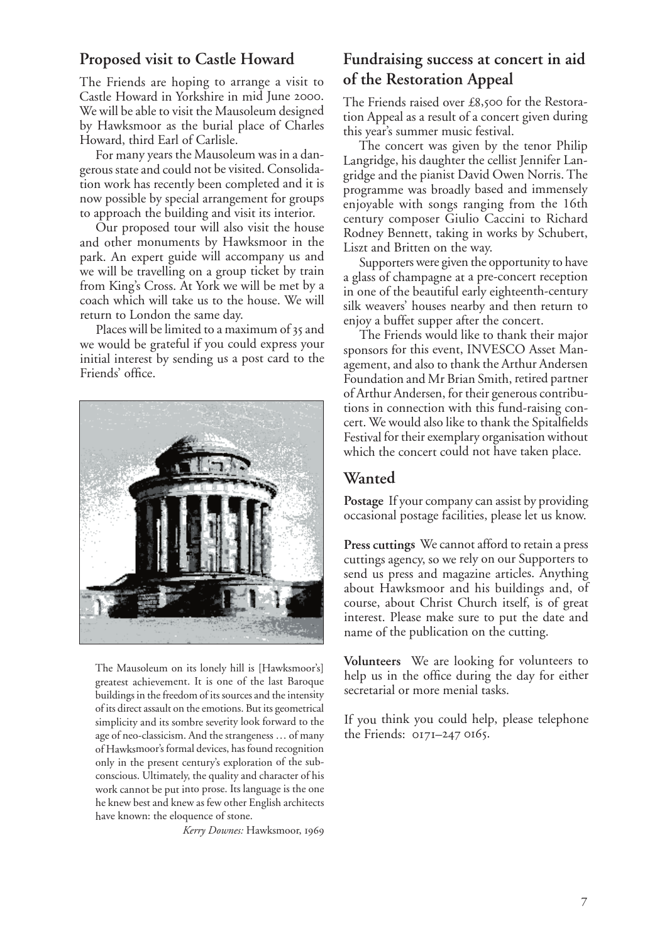## **Proposed visit to Castle Howard**

The Friends are hoping to arrange a visit to Castle Howard in Yorkshire in mid June 2000. We will be able to visit the Mausoleum designed by Hawksmoor as the burial place of Charles Howard, third Earl of Carlisle.

For many years the Mausoleum was in a dangerous state and could not be visited. Consolidation work has recently been completed and it is now possible by special arrangement for groups to approach the building and visit its interior.

Our proposed tour will also visit the house and other monuments by Hawksmoor in the park. An expert guide will accompany us and we will be travelling on a group ticket by train from King's Cross. At York we will be met by a coach which will take us to the house. We will return to London the same day.

Places will be limited to a maximum of 35 and we would be grateful if you could express your initial interest by sending us a post card to the Friends' office.



The Mausoleum on its lonely hill is [Hawksmoor's] greatest achievement. It is one of the last Baroque buildings in the freedom of its sources and the intensity of its direct assault on the emotions. But its geometrical simplicity and its sombre severity look forward to the age of neo-classicism. And the strangeness … of many of Hawksmoor's formal devices, has found recognition only in the present century's exploration of the subconscious. Ultimately, the quality and character of his work cannot be put into prose. Its language is the one he knew best and knew as few other English architects have known: the eloquence of stone.

*Kerry Downes:* Hawksmoor,

# **Fundraising success at concert in aid of the Restoration Appeal**

The Friends raised over £8,500 for the Restoration Appeal as a result of a concert given during this year's summer music festival.

The concert was given by the tenor Philip Langridge, his daughter the cellist Jennifer Langridge and the pianist David Owen Norris. The programme was broadly based and immensely enjoyable with songs ranging from the 16th century composer Giulio Caccini to Richard Rodney Bennett, taking in works by Schubert, Liszt and Britten on the way.

Supporters were given the opportunity to have a glass of champagne at a pre-concert reception in one of the beautiful early eighteenth-century silk weavers' houses nearby and then return to enjoy a buffet supper after the concert.

The Friends would like to thank their major sponsors for this event, INVESCO Asset Management, and also to thank the Arthur Andersen Foundation and Mr Brian Smith, retired partner of Arthur Andersen, for their generous contributions in connection with this fund-raising concert. We would also like to thank the Spitalfields Festival for their exemplary organisation without which the concert could not have taken place.

## **Wanted**

**Postage** If your company can assist by providing occasional postage facilities, please let us know.

**Press cuttings** We cannot afford to retain a press cuttings agency, so we rely on our Supporters to send us press and magazine articles. Anything about Hawksmoor and his buildings and, of course, about Christ Church itself, is of great interest. Please make sure to put the date and name of the publication on the cutting.

**Volunteers** We are looking for volunteers to help us in the office during the day for either secretarial or more menial tasks.

If you think you could help, please telephone the Friends:  $0171-2470165$ .